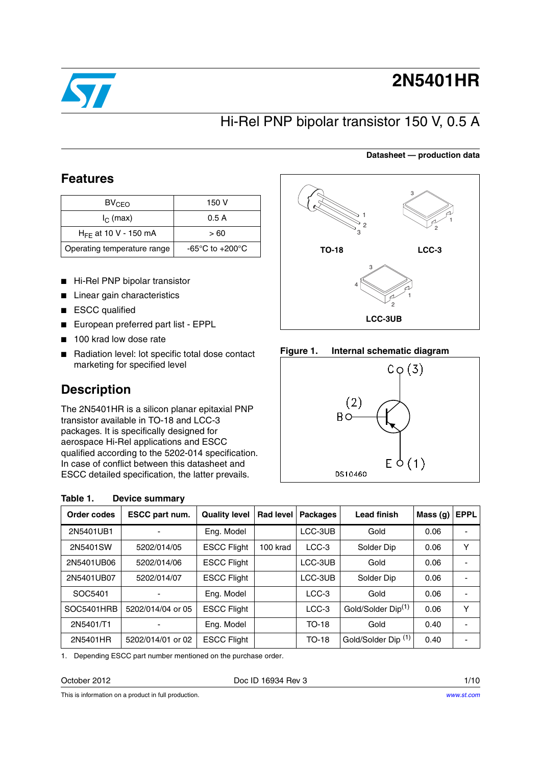

# **2N5401HR**

### Hi-Rel PNP bipolar transistor 150 V, 0.5 A

#### **Datasheet — production data**

### **Features**

| BV <sub>CEO</sub>           | 150 V           |              |         |
|-----------------------------|-----------------|--------------|---------|
| $I_{\cap}$ (max)            | 0.5A            |              |         |
| $H_{FF}$ at 10 V - 150 mA   | > 60            |              |         |
| Operating temperature range | -65°C to +200°C | <b>TO-18</b> | $LCC-3$ |

- Hi-Rel PNP bipolar transistor
- Linear gain characteristics
- ESCC qualified
- European preferred part list EPPL
- 100 krad low dose rate

<span id="page-0-0"></span>**Table 1. Device summary**

■ Radiation level: lot specific total dose contact marketing for specified level

### **Description**

The 2N5401HR is a silicon planar epitaxial PNP transistor available in TO-18 and LCC-3 packages. It is specifically designed for aerospace Hi-Rel applications and ESCC qualified according to the 5202-014 specification. In case of conflict between this datasheet and ESCC detailed specification, the latter prevails.

| 2<br>3                   | 3<br>$\overline{2}$ |  |  |  |  |
|--------------------------|---------------------|--|--|--|--|
| <b>TO-18</b>             | $LCC-3$             |  |  |  |  |
| 3<br>4<br>$\overline{2}$ |                     |  |  |  |  |
| LCC-3UB                  |                     |  |  |  |  |

### **Figure 1. Internal schematic diagram**



| Order codes | ESCC part num.    | <b>Quality level</b> | <b>Rad level</b> | <b>Packages</b> | <b>Lead finish</b>             | Mass (g) | <b>EPPL</b> |
|-------------|-------------------|----------------------|------------------|-----------------|--------------------------------|----------|-------------|
| 2N5401UB1   |                   | Eng. Model           |                  | LCC-3UB         | Gold                           | 0.06     |             |
| 2N5401SW    | 5202/014/05       | <b>ESCC Flight</b>   | 100 krad         | $LCC-3$         | Solder Dip                     | 0.06     | Υ           |
| 2N5401UB06  | 5202/014/06       | <b>ESCC Flight</b>   |                  | LCC-3UB         | Gold                           | 0.06     |             |
| 2N5401UB07  | 5202/014/07       | <b>ESCC Flight</b>   |                  | LCC-3UB         | Solder Dip                     | 0.06     |             |
| SOC5401     |                   | Eng. Model           |                  | LCC-3           | Gold                           | 0.06     |             |
| SOC5401HRB  | 5202/014/04 or 05 | <b>ESCC Flight</b>   |                  | $LCC-3$         | Gold/Solder Dip <sup>(1)</sup> | 0.06     | Υ           |
| 2N5401/T1   |                   | Eng. Model           |                  | <b>TO-18</b>    | Gold                           | 0.40     |             |
| 2N5401HR    | 5202/014/01 or 02 | <b>ESCC Flight</b>   |                  | <b>TO-18</b>    | Gold/Solder Dip <sup>(1)</sup> | 0.40     |             |

1. Depending ESCC part number mentioned on the purchase order.

Doc ID 16934 Rev 3 1/10

This is information on a product in full production.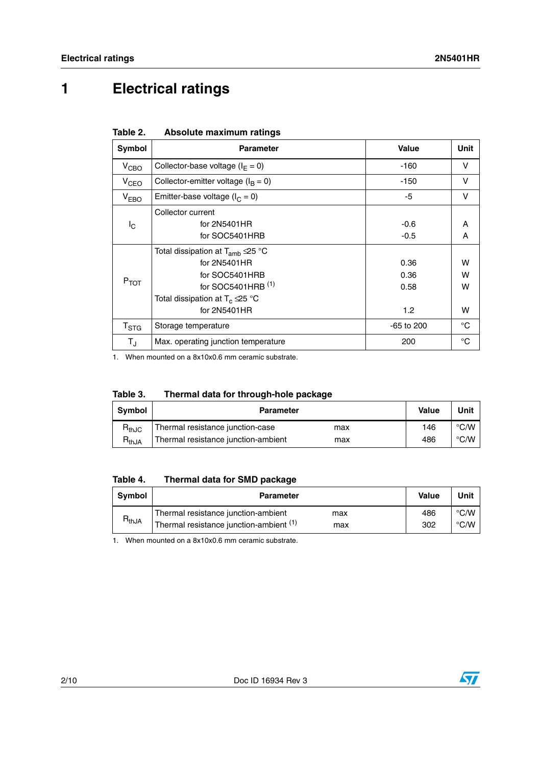# **1 Electrical ratings**

| Table 2. | Absolute maximum ratings |  |
|----------|--------------------------|--|
|          |                          |  |

| Symbol           | <b>Parameter</b>                                                                                                                                                                | <b>Value</b>                | Unit             |
|------------------|---------------------------------------------------------------------------------------------------------------------------------------------------------------------------------|-----------------------------|------------------|
| V <sub>CBO</sub> | Collector-base voltage ( $I_F = 0$ )                                                                                                                                            | $-160$                      | v                |
| V <sub>CEO</sub> | Collector-emitter voltage ( $I_B = 0$ )                                                                                                                                         | $-150$                      | v                |
| $V_{EBO}$        | Emitter-base voltage ( $I_C = 0$ )                                                                                                                                              | -5                          | v                |
| Iс               | Collector current<br>for 2N5401HR<br>for SOC5401HRB                                                                                                                             | $-0.6$<br>$-0.5$            | A<br>A           |
| $P_{TOT}$        | Total dissipation at $T_{amb} \triangle 25$ °C<br>for 2N5401HR<br>for SOC5401HRB<br>for SOC5401HRB (1)<br>Total dissipation at $T_c \trianglelefteq 5^{\circ}C$<br>for 2N5401HR | 0.36<br>0.36<br>0.58<br>1.2 | w<br>w<br>w<br>w |
| $T_{\rm STG}$    | Storage temperature                                                                                                                                                             | $-65$ to 200                | $^{\circ}C$      |
| $T_{\text{J}}$   | Max. operating junction temperature                                                                                                                                             | 200                         | $^{\circ}C$      |

1. When mounted on a 8x10x0.6 mm ceramic substrate.

| Table 3.<br>Thermal data for through-hole package |  |  |
|---------------------------------------------------|--|--|
|---------------------------------------------------|--|--|

| <b>Symbol</b> | <b>Parameter</b>                           | Value | Unit |
|---------------|--------------------------------------------|-------|------|
| $R_{thJC}$    | Thermal resistance junction-case<br>max    | 146   | °C/W |
| $R_{thJA}$    | Thermal resistance junction-ambient<br>max | 486   | °C/W |

### **Table 4. Thermal data for SMD package**

| <b>Symbol</b> | <b>Parameter</b>                                                                             | Value      | Unit                           |
|---------------|----------------------------------------------------------------------------------------------|------------|--------------------------------|
| $R_{thJA}$    | Thermal resistance junction-ambient<br>max<br>Thermal resistance junction-ambient (1)<br>max | 486<br>302 | $\degree$ C/W<br>$\degree$ C/W |

1. When mounted on a 8x10x0.6 mm ceramic substrate.

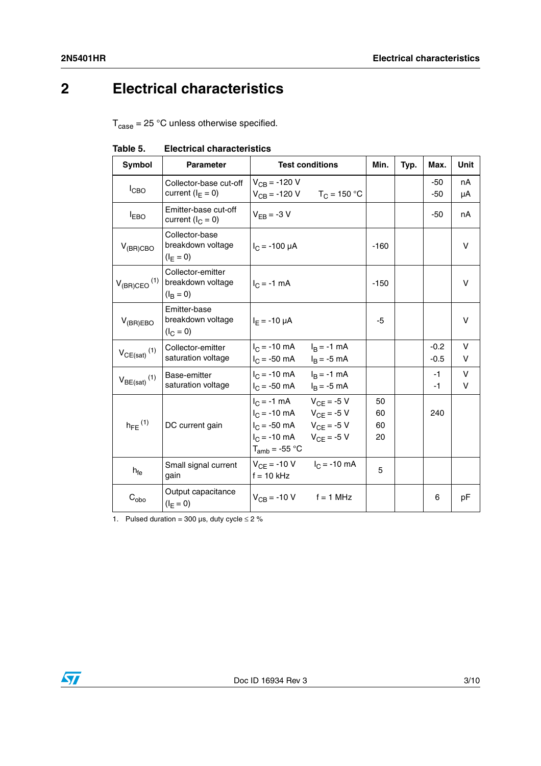## **2 Electrical characteristics**

 $T_{\text{case}} = 25 \text{ °C}$  unless otherwise specified.

| Symbol                       | <b>Parameter</b>                                            |                                                                                           | <b>Test conditions</b>                                                   | Min.                 | Typ. | Max.             | Unit        |
|------------------------------|-------------------------------------------------------------|-------------------------------------------------------------------------------------------|--------------------------------------------------------------------------|----------------------|------|------------------|-------------|
| $I_{CBO}$                    | Collector-base cut-off<br>current ( $I_F = 0$ )             | $V_{CB} = -120 V$                                                                         | $V_{CB} = -120 \text{ V}$ $T_C = 150 \text{ °C}$                         |                      |      | -50<br>$-50$     | nA<br>μA    |
| $I_{EBO}$                    | Emitter-base cut-off<br>current $(I_C = 0)$                 | $V_{FB} = -3 V$                                                                           |                                                                          |                      |      | $-50$            | nA          |
| $V_{(BR)CBO}$                | Collector-base<br>breakdown voltage<br>$(I_F = 0)$          | $I_C$ = -100 µA                                                                           |                                                                          | $-160$               |      |                  | V           |
| $V_{(BR)CEO}$ <sup>(1)</sup> | Collector-emitter<br>breakdown voltage<br>$(I_{\rm B} = 0)$ | $I_{C} = -1$ mA                                                                           |                                                                          | $-150$               |      |                  | V           |
| $V_{(BR)EBO}$                | Emitter-base<br>breakdown voltage<br>$(I_C = 0)$            | $I_F = -10 \mu A$                                                                         |                                                                          | $-5$                 |      |                  | v           |
| $V_{CE(sat)}$ <sup>(1)</sup> | Collector-emitter<br>saturation voltage                     | $I_C = -10$ mA<br>$I_C = -50$ mA                                                          | $I_{\rm B} = -1$ mA<br>$IB = -5 mA$                                      |                      |      | $-0.2$<br>$-0.5$ | V<br>V      |
| $V_{BE(sat)}$ <sup>(1)</sup> | Base-emitter<br>saturation voltage                          | $I_C = -10 \text{ mA}$<br>$I_C = -50$ mA                                                  | $I_{\rm B} = -1$ mA<br>$I_B = -5$ mA                                     |                      |      | $-1$<br>$-1$     | $\vee$<br>V |
| $h_{FE}$ <sup>(1)</sup>      | DC current gain                                             | $I_C = -1$ mA<br>$I_C = -10$ mA<br>$I_C = -50$ mA<br>$I_C = -10$ mA<br>$T_{amb} = -55 °C$ | $V_{CF} = -5 V$<br>$V_{CF} = -5 V$<br>$V_{CF}$ = -5 V<br>$V_{CF} = -5 V$ | 50<br>60<br>60<br>20 |      | 240              |             |
| $h_{\text{fe}}$              | Small signal current<br>gain                                | $V_{CF} = -10 V$<br>$f = 10$ kHz                                                          | $I_C = -10$ mA                                                           | 5                    |      |                  |             |
| $C_{\text{obo}}$             | Output capacitance<br>$(I_F = 0)$                           | $V_{CB} = -10 V$                                                                          | $f = 1$ MHz                                                              |                      |      | 6                | рF          |

**Table 5. Electrical characteristics**

1. Pulsed duration = 300  $\mu$ s, duty cycle  $\leq$  2 %

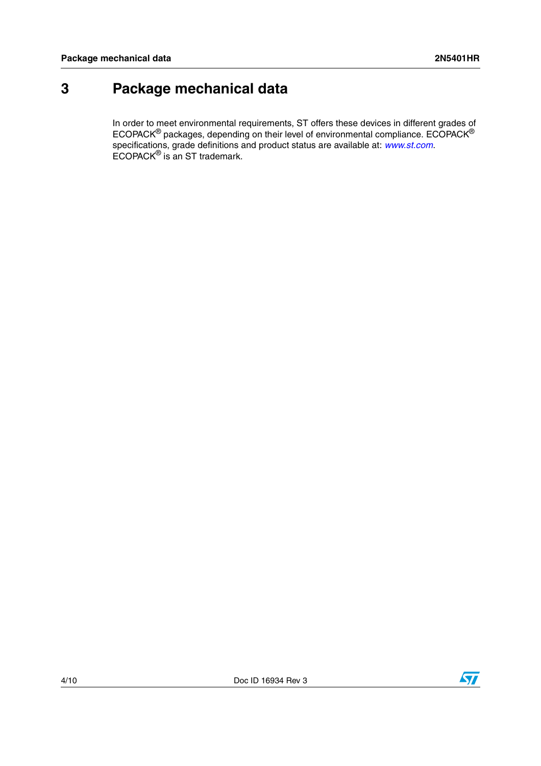### <span id="page-3-0"></span>**3 Package mechanical data**

In order to meet environmental requirements, ST offers these devices in different grades of ECOPACK $^{\circledR}$  packages, depending on their level of environmental compliance. ECOPACK $^{\circledR}$ specifications, grade definitions and product status are available at: *[www.st.com](http://www.st.com)*. ECOPACK® is an ST trademark.

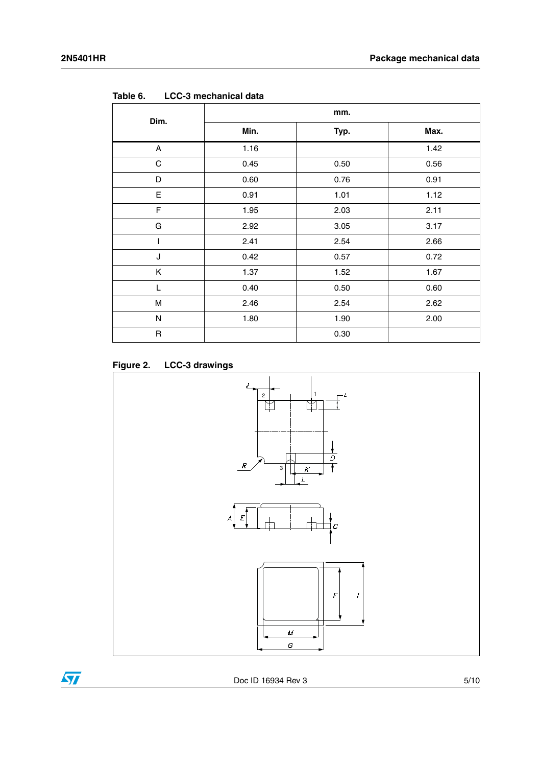| Dim.        | mm.  |      |      |  |  |
|-------------|------|------|------|--|--|
|             | Min. | Typ. | Max. |  |  |
| A           | 1.16 |      | 1.42 |  |  |
| C           | 0.45 | 0.50 | 0.56 |  |  |
| D           | 0.60 | 0.76 | 0.91 |  |  |
| E           | 0.91 | 1.01 | 1.12 |  |  |
| F           | 1.95 | 2.03 | 2.11 |  |  |
| G           | 2.92 | 3.05 | 3.17 |  |  |
|             | 2.41 | 2.54 | 2.66 |  |  |
| J           | 0.42 | 0.57 | 0.72 |  |  |
| Κ           | 1.37 | 1.52 | 1.67 |  |  |
| L           | 0.40 | 0.50 | 0.60 |  |  |
| M           | 2.46 | 2.54 | 2.62 |  |  |
| N           | 1.80 | 1.90 | 2.00 |  |  |
| $\mathsf R$ |      | 0.30 |      |  |  |

**Table 6. LCC-3 mechanical data**





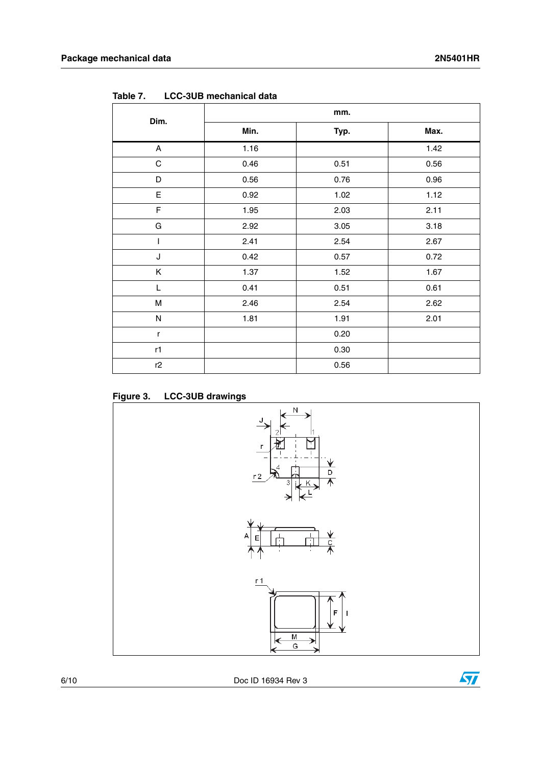| Dim.         |      | mm.  |      |
|--------------|------|------|------|
|              | Min. | Typ. | Max. |
| A            | 1.16 |      | 1.42 |
| C            | 0.46 | 0.51 | 0.56 |
| D            | 0.56 | 0.76 | 0.96 |
| E            | 0.92 | 1.02 | 1.12 |
| F            | 1.95 | 2.03 | 2.11 |
| G            | 2.92 | 3.05 | 3.18 |
| T            | 2.41 | 2.54 | 2.67 |
| J            | 0.42 | 0.57 | 0.72 |
| Κ            | 1.37 | 1.52 | 1.67 |
| L            | 0.41 | 0.51 | 0.61 |
| M            | 2.46 | 2.54 | 2.62 |
| Ν            | 1.81 | 1.91 | 2.01 |
| $\mathsf{r}$ |      | 0.20 |      |
| r1           |      | 0.30 |      |
| r2           |      | 0.56 |      |

**Table 7. LCC-3UB mechanical data**

**Figure 3. LCC-3UB drawings**



6/10 Doc ID 16934 Rev 3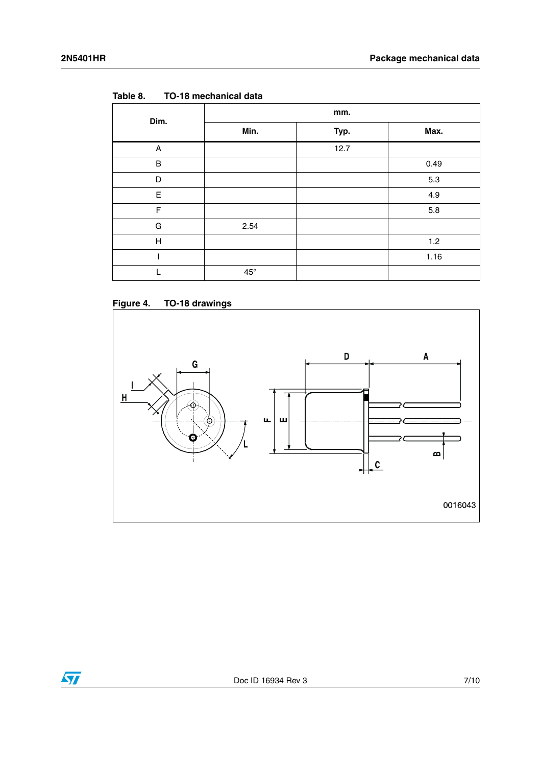| Dim.         | mm.          |      |      |  |  |
|--------------|--------------|------|------|--|--|
|              | Min.         | Typ. | Max. |  |  |
| A            |              | 12.7 |      |  |  |
| $\sf B$      |              |      | 0.49 |  |  |
| D            |              |      | 5.3  |  |  |
| E            |              |      | 4.9  |  |  |
| F            |              |      | 5.8  |  |  |
| G            | 2.54         |      |      |  |  |
| $\mathsf{H}$ |              |      | 1.2  |  |  |
|              |              |      | 1.16 |  |  |
|              | $45^{\circ}$ |      |      |  |  |

**Table 8. TO-18 mechanical data**





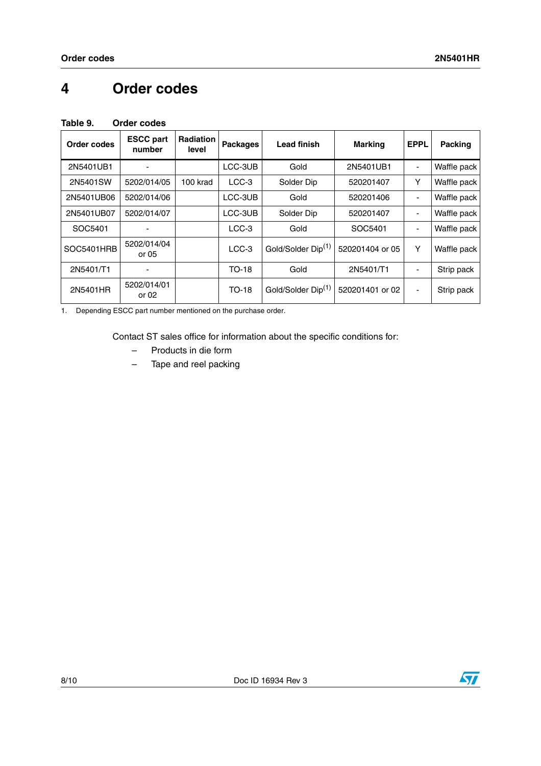### <span id="page-7-1"></span>**4 Order codes**

<span id="page-7-0"></span>

| Table 9. | Order codes |
|----------|-------------|
|          |             |

| Order codes | <b>ESCC part</b><br>number | <b>Radiation</b><br>level | <b>Packages</b> | <b>Lead finish</b>             | <b>Marking</b>  | <b>EPPL</b>              | <b>Packing</b> |
|-------------|----------------------------|---------------------------|-----------------|--------------------------------|-----------------|--------------------------|----------------|
| 2N5401UB1   |                            |                           | LCC-3UB         | Gold                           | 2N5401UB1       |                          | Waffle pack    |
| 2N5401SW    | 5202/014/05                | 100 krad                  | LCC-3           | Solder Dip                     | 520201407       | Υ                        | Waffle pack    |
| 2N5401UB06  | 5202/014/06                |                           | LCC-3UB         | Gold                           | 520201406       | $\overline{\phantom{a}}$ | Waffle pack    |
| 2N5401UB07  | 5202/014/07                |                           | LCC-3UB         | Solder Dip                     | 520201407       | $\overline{\phantom{a}}$ | Waffle pack    |
| SOC5401     |                            |                           | $LCC-3$         | Gold                           | SOC5401         | $\blacksquare$           | Waffle pack    |
| SOC5401HRB  | 5202/014/04<br>or 05       |                           | $LCC-3$         | Gold/Solder Dip <sup>(1)</sup> | 520201404 or 05 | Y                        | Waffle pack    |
| 2N5401/T1   |                            |                           | $TO-18$         | Gold                           | 2N5401/T1       | $\blacksquare$           | Strip pack     |
| 2N5401HR    | 5202/014/01<br>or 02       |                           | $TO-18$         | Gold/Solder Dip <sup>(1)</sup> | 520201401 or 02 | $\overline{\phantom{a}}$ | Strip pack     |

1. Depending ESCC part number mentioned on the purchase order.

Contact ST sales office for information about the specific conditions for:

- Products in die form
- Tape and reel packing

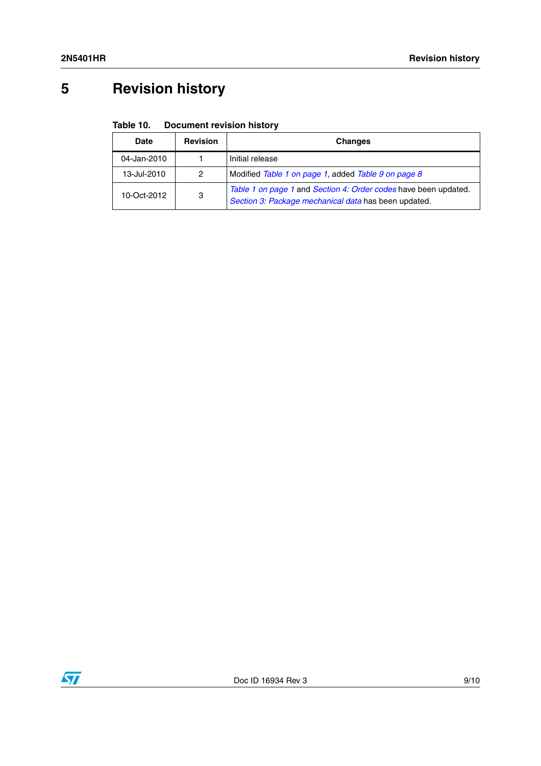# **5 Revision history**

#### Table 10. **Document revision history**

| Date        | <b>Revision</b> | <b>Changes</b>                                                                                                          |
|-------------|-----------------|-------------------------------------------------------------------------------------------------------------------------|
| 04-Jan-2010 |                 | Initial release                                                                                                         |
| 13-Jul-2010 | 2               | Modified Table 1 on page 1, added Table 9 on page 8                                                                     |
| 10-Oct-2012 | 3               | Table 1 on page 1 and Section 4: Order codes have been updated.<br>Section 3: Package mechanical data has been updated. |